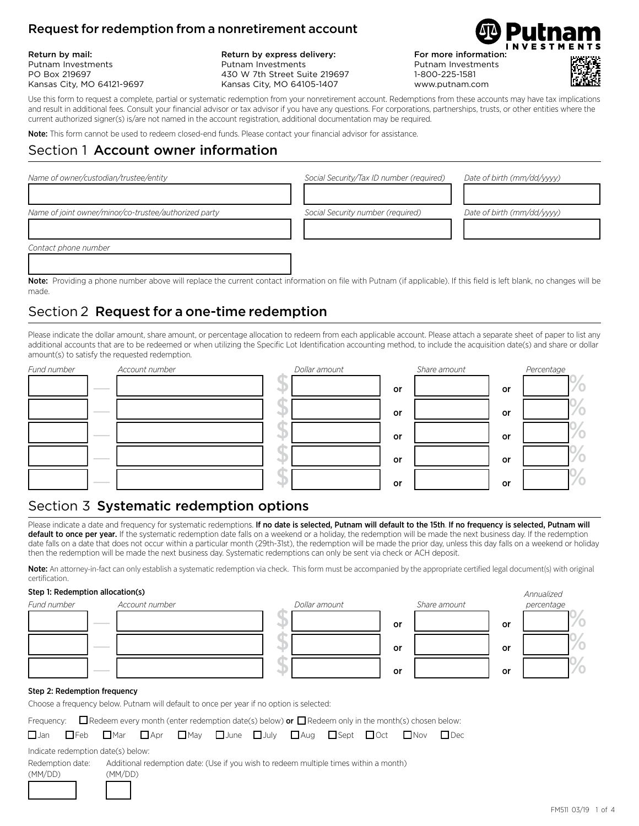### Request for redemption from a nonretirement account

Return by mail: Putnam Investments PO Box 219697 Kansas City, MO 64121-9697

Return by express delivery: Putnam Investments 430 W 7th Street Suite 219697 Kansas City, MO 64105-1407

For more information: Putnam Investments 1-800-225-1581 www.putnam.com



Use this form to request a complete, partial or systematic redemption from your nonretirement account. Redemptions from these accounts may have tax implications and result in additional fees. Consult your financial advisor or tax advisor if you have any questions. For corporations, partnerships, trusts, or other entities where the current authorized signer(s) is/are not named in the account registration, additional documentation may be required.

Note: This form cannot be used to redeem closed-end funds. Please contact your financial advisor for assistance.

### Section 1 Account owner information

| Name of owner/custodian/trustee/entity                | Social Security/Tax ID number (required) | Date of birth (mm/dd/yyyy) |
|-------------------------------------------------------|------------------------------------------|----------------------------|
| Name of joint owner/minor/co-trustee/authorized party | Social Security number (required)        | Date of birth (mm/dd/vvvv) |
| Contact phone number                                  |                                          |                            |

**Note:** Providing a phone number above will replace the current contact information on file with Putnam (if applicable). If this field is left blank, no changes will be made.

### Section 2 Request for a one-time redemption

Please indicate the dollar amount, share amount, or percentage allocation to redeem from each applicable account. Please attach a separate sheet of paper to list any additional accounts that are to be redeemed or when utilizing the Specific Lot Identification accounting method, to include the acquisition date(s) and share or dollar amount(s) to satisfy the requested redemption.



### Section 3 Systematic redemption options

Please indicate a date and frequency for systematic redemptions. If no date is selected, Putnam will default to the 15th. If no frequency is selected, Putnam will default to once per year. If the systematic redemption date falls on a weekend or a holiday, the redemption will be made the next business day. If the redemption date falls on a date that does not occur within a particular month (29th-31st), the redemption will be made the prior day, unless this day falls on a weekend or holiday then the redemption will be made the next business day. Systematic redemptions can only be sent via check or ACH deposit.

Note: An attorney-in-fact can only establish a systematic redemption via check. This form must be accompanied by the appropriate certified legal document(s) with original certification.

### Step 1: Redemption allocation(s) *Annualized*

| Fund number                  |                                   | Account number | Dollar amount |    | Share amount |    | 11111<br>percentage |
|------------------------------|-----------------------------------|----------------|---------------|----|--------------|----|---------------------|
|                              | <b>Contract Contract Contract</b> |                |               | or |              | or |                     |
|                              |                                   |                |               | or |              | or |                     |
|                              |                                   |                |               | or |              | or |                     |
| Step 2: Redemption frequency |                                   |                |               |    |              |    |                     |

Choose a frequency below. Putnam will default to once per year if no option is selected:

Frequency:  $\Box$  Redeem every month (enter redemption date(s) below) or  $\Box$  Redeem only in the month(s) chosen below:

|  |  |  |  |  | <b>OJan OFeb OMar DApr OMay OJune OJuly DAug OSept OOct ONov ODec</b> |  |
|--|--|--|--|--|-----------------------------------------------------------------------|--|
|  |  |  |  |  |                                                                       |  |

Indicate redemption date(s) below:

Redemption date: Additional redemption date: (Use if you wish to redeem multiple times within a month)

(MM/DD) (MM/DD)

12124 124

FM511 03/19 1 of <sup>4</sup>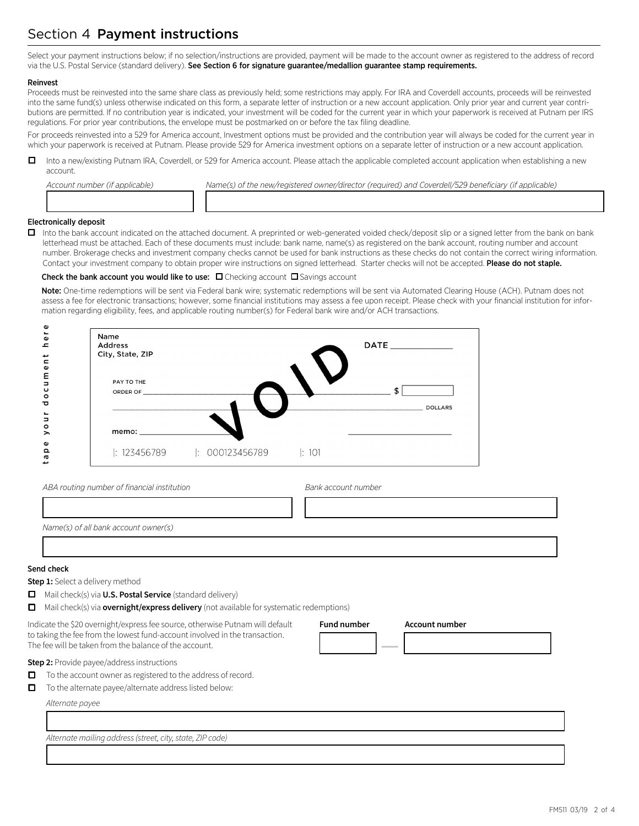# Section 4 Payment instructions

Select your payment instructions below; if no selection/instructions are provided, payment will be made to the account owner as registered to the address of record via the U.S. Postal Service (standard delivery). See Section 6 for signature guarantee/medallion guarantee stamp requirements.

#### Reinvest

Proceeds must be reinvested into the same share class as previously held; some restrictions may apply. For IRA and Coverdell accounts, proceeds will be reinvested into the same fund(s) unless otherwise indicated on this form, a separate letter of instruction or a new account application. Only prior year and current year contributions are permitted. If no contribution year is indicated, your investment will be coded for the current year in which your paperwork is received at Putnam per IRS regulations. For prior year contributions, the envelope must be postmarked on or before the tax filing deadline.

For proceeds reinvested into a 529 for America account, Investment options must be provided and the contribution year will always be coded for the current year in which your paperwork is received at Putnam. Please provide 529 for America investment options on a separate letter of instruction or a new account application.

□ Into a new/existing Putnam IRA, Coverdell, or 529 for America account. Please attach the applicable completed account application when establishing a new account.

| Account number (if applicable) | Name(s) of the new/registered owner/director (required) and Coverdell/529 beneficiary (if applicable) |
|--------------------------------|-------------------------------------------------------------------------------------------------------|
|                                |                                                                                                       |

### Electronically deposit

□ Into the bank account indicated on the attached document. A preprinted or web-generated voided check/deposit slip or a signed letter from the bank on bank letterhead must be attached. Each of these documents must include: bank name, name(s) as registered on the bank account, routing number and account number. Brokerage checks and investment company checks cannot be used for bank instructions as these checks do not contain the correct wiring information. Contact your investment company to obtain proper wire instructions on signed letterhead. Starter checks will not be accepted. Please do not staple.

### Check the bank account you would like to use:  $\Box$  Checking account  $\Box$  Savings account

Note: One-time redemptions will be sent via Federal bank wire; systematic redemptions will be sent via Automated Clearing House (ACH). Putnam does not assess a fee for electronic transactions; however, some financial institutions may assess a fee upon receipt. Please check with your financial institution for information regarding eligibility, fees, and applicable routing number(s) for Federal bank wire and/or ACH transactions.



*ABA routing number of financial institution Bank account number* 133333333333333334 133333333333333334 *Name(s) of all bank account owner(s)* 133333333333333333333333333333333334

13333333333333333333333333333333333334

**Fund number Account number**

12224 **—** 12222222224

#### Send check

**Step 1:** Select a delivery method

- **O** Mail check(s) via **U.S. Postal Service** (standard delivery)
- □ Mail check(s) via **overnight/express delivery** (not available for systematic redemptions)

Indicate the \$20 overnight/express fee source, otherwise Putnam will default to taking the fee from the lowest fund-account involved in the transaction. The fee will be taken from the balance of the account.

**Step 2:** Provide payee/address instructions

- $\Box$  To the account owner as registered to the address of record.
- $\Box$  To the alternate payee/alternate address listed below:

*Alternate payee*

13333333333333333333333333333333333334 *Alternate mailing address (street, city, state, ZIP code)*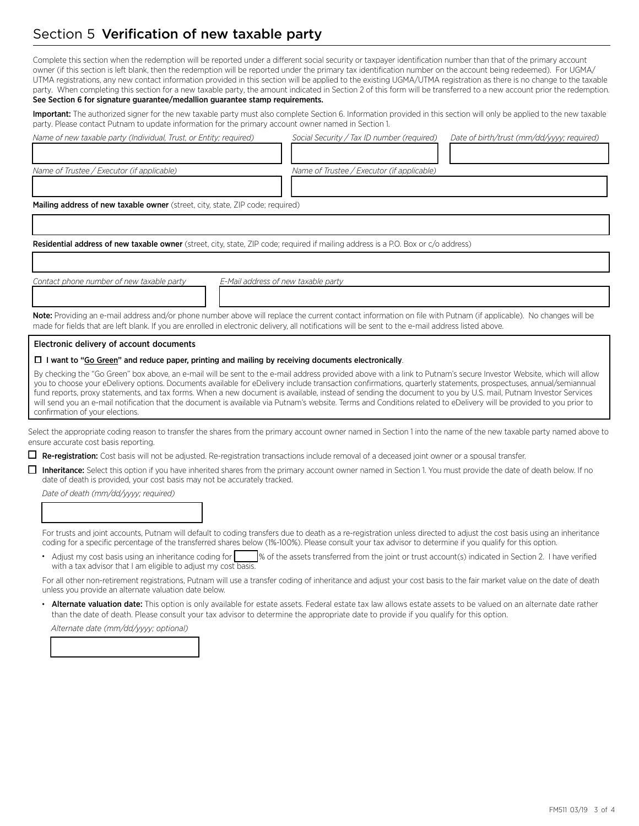## Section 5 Verification of new taxable party

Complete this section when the redemption will be reported under a different social security or taxpayer identification number than that of the primary account owner (if this section is left blank, then the redemption will be reported under the primary tax identification number on the account being redeemed). For UGMA/ UTMA registrations, any new contact information provided in this section will be applied to the existing UGMA/UTMA registration as there is no change to the taxable party. When completing this section for a new taxable party, the amount indicated in Section 2 of this form will be transferred to a new account prior the redemption. See Section 6 for signature guarantee/medallion guarantee stamp requirements.

Important: The authorized signer for the new taxable party must also complete Section 6. Information provided in this section will only be applied to the new taxable party. Please contact Putnam to update information for the primary account owner named in Section 1. 

| Name of new taxable party (Individual, Trust, or Entity; required)                                                                                  | Social Security / Tax ID number (required)<br>Date of birth/trust (mm/dd/yyyy; required)                                                                                                                                                                                                                                                                                                                                                                                                                                                                                                                                                                                          |
|-----------------------------------------------------------------------------------------------------------------------------------------------------|-----------------------------------------------------------------------------------------------------------------------------------------------------------------------------------------------------------------------------------------------------------------------------------------------------------------------------------------------------------------------------------------------------------------------------------------------------------------------------------------------------------------------------------------------------------------------------------------------------------------------------------------------------------------------------------|
|                                                                                                                                                     |                                                                                                                                                                                                                                                                                                                                                                                                                                                                                                                                                                                                                                                                                   |
| Name of Trustee / Executor (if applicable)                                                                                                          | Name of Trustee / Executor (if applicable)                                                                                                                                                                                                                                                                                                                                                                                                                                                                                                                                                                                                                                        |
|                                                                                                                                                     |                                                                                                                                                                                                                                                                                                                                                                                                                                                                                                                                                                                                                                                                                   |
| Mailing address of new taxable owner (street, city, state, ZIP code; required)                                                                      |                                                                                                                                                                                                                                                                                                                                                                                                                                                                                                                                                                                                                                                                                   |
|                                                                                                                                                     |                                                                                                                                                                                                                                                                                                                                                                                                                                                                                                                                                                                                                                                                                   |
| Residential address of new taxable owner (street, city, state, ZIP code; required if mailing address is a P.O. Box or c/o address)                  |                                                                                                                                                                                                                                                                                                                                                                                                                                                                                                                                                                                                                                                                                   |
|                                                                                                                                                     |                                                                                                                                                                                                                                                                                                                                                                                                                                                                                                                                                                                                                                                                                   |
| Contact phone number of new taxable party                                                                                                           | E-Mail address of new taxable party                                                                                                                                                                                                                                                                                                                                                                                                                                                                                                                                                                                                                                               |
|                                                                                                                                                     |                                                                                                                                                                                                                                                                                                                                                                                                                                                                                                                                                                                                                                                                                   |
| made for fields that are left blank. If you are enrolled in electronic delivery, all notifications will be sent to the e-mail address listed above. | Note: Providing an e-mail address and/or phone number above will replace the current contact information on file with Putnam (if applicable). No changes will be                                                                                                                                                                                                                                                                                                                                                                                                                                                                                                                  |
| Electronic delivery of account documents                                                                                                            |                                                                                                                                                                                                                                                                                                                                                                                                                                                                                                                                                                                                                                                                                   |
| $\Box$ I want to "Go Green" and reduce paper, printing and mailing by receiving documents electronically.                                           |                                                                                                                                                                                                                                                                                                                                                                                                                                                                                                                                                                                                                                                                                   |
| confirmation of your elections.                                                                                                                     | By checking the "Go Green" box above, an e-mail will be sent to the e-mail address provided above with a link to Putnam's secure Investor Website, which will allow<br>you to choose your eDelivery options. Documents available for eDelivery include transaction confirmations, quarterly statements, prospectuses, annual/semiannual<br>fund reports, proxy statements, and tax forms. When a new document is available, instead of sending the document to you by U.S. mail, Putnam Investor Services<br>will send you an e-mail notification that the document is available via Putnam's website. Terms and Conditions related to eDelivery will be provided to you prior to |
| ensure accurate cost basis reporting.                                                                                                               | Select the appropriate coding reason to transfer the shares from the primary account owner named in Section 1 into the name of the new taxable party named above to                                                                                                                                                                                                                                                                                                                                                                                                                                                                                                               |
| ■ Re-registration: Cost basis will not be adjusted. Re-registration transactions include removal of a deceased joint owner or a spousal transfer.   |                                                                                                                                                                                                                                                                                                                                                                                                                                                                                                                                                                                                                                                                                   |
| date of death is provided, your cost basis may not be accurately tracked.                                                                           | Inheritance: Select this option if you have inherited shares from the primary account owner named in Section 1. You must provide the date of death below. If no                                                                                                                                                                                                                                                                                                                                                                                                                                                                                                                   |
| Date of death (mm/dd/yyyy; required)                                                                                                                |                                                                                                                                                                                                                                                                                                                                                                                                                                                                                                                                                                                                                                                                                   |
|                                                                                                                                                     |                                                                                                                                                                                                                                                                                                                                                                                                                                                                                                                                                                                                                                                                                   |
|                                                                                                                                                     | For trusts and joint accounts, Putnam will default to coding transfers due to death as a re-registration unless directed to adjust the cost basis using an inheritance<br>coding for a specific percentage of the transferred shares below (1%-100%). Please consult your tax advisor to determine if you qualify for this option.                                                                                                                                                                                                                                                                                                                                                |
| with a tax advisor that I am eligible to adjust my cost basis.                                                                                      |                                                                                                                                                                                                                                                                                                                                                                                                                                                                                                                                                                                                                                                                                   |
| unless you provide an alternate valuation date below.                                                                                               | For all other non-retirement registrations, Putnam will use a transfer coding of inheritance and adjust your cost basis to the fair market value on the date of death                                                                                                                                                                                                                                                                                                                                                                                                                                                                                                             |

• Alternate valuation date: This option is only available for estate assets. Federal estate tax law allows estate assets to be valued on an alternate date rather than the date of death. Please consult your tax advisor to determine the appropriate date to provide if you qualify for this option.

*Alternate date (mm/dd/yyyy; optional)*

13333333334